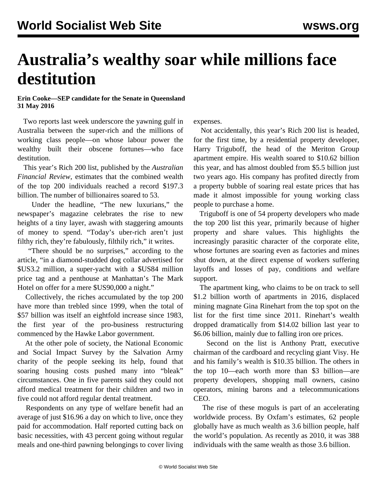## **Australia's wealthy soar while millions face destitution**

## **Erin Cooke—SEP candidate for the Senate in Queensland 31 May 2016**

 Two reports last week underscore the yawning gulf in Australia between the super-rich and the millions of working class people—on whose labour power the wealthy built their obscene fortunes—who face destitution.

 This year's Rich 200 list, published by the *Australian Financial Review*, estimates that the combined wealth of the top 200 individuals reached a record \$197.3 billion. The number of billionaires soared to 53.

 Under the headline, "The new luxurians," the newspaper's magazine celebrates the rise to new heights of a tiny layer, awash with staggering amounts of money to spend. "Today's uber-rich aren't just filthy rich, they're fabulously, filthily rich," it writes.

 "There should be no surprises," according to the article, "in a diamond-studded dog collar advertised for \$US3.2 million, a super-yacht with a \$US84 million price tag and a penthouse at Manhattan's The Mark Hotel on offer for a mere \$US90,000 a night."

 Collectively, the riches accumulated by the top 200 have more than trebled since 1999, when the total of \$57 billion was itself an [eightfold increase](/en/articles/1999/05/rich-m29.html) since 1983, the first year of the pro-business restructuring commenced by the Hawke Labor government.

 At the other pole of society, the National Economic and Social Impact Survey by the Salvation Army charity of the people seeking its help, found that soaring housing costs pushed many into "bleak" circumstances. One in five parents said they could not afford medical treatment for their children and two in five could not afford regular dental treatment.

 Respondents on any type of welfare benefit had an average of just \$16.96 a day on which to live, once they paid for accommodation. Half reported cutting back on basic necessities, with 43 percent going without regular meals and one-third pawning belongings to cover living

expenses.

 Not accidentally, this year's Rich 200 list is headed, for the first time, by a residential property developer, Harry Triguboff, the head of the Meriton Group apartment empire. His wealth soared to \$10.62 billion this year, and has almost doubled from \$5.5 billion just two years ago. His company has profited directly from a property bubble of soaring real estate prices that has made it almost impossible for young working class people to purchase a home.

 Triguboff is one of 54 property developers who made the top 200 list this year, primarily because of higher property and share values. This highlights the increasingly parasitic character of the corporate elite, whose fortunes are soaring even as factories and mines shut down, at the direct expense of workers suffering layoffs and losses of pay, conditions and welfare support.

 The apartment king, who claims to be on track to sell \$1.2 billion worth of apartments in 2016, displaced mining magnate Gina Rinehart from the top spot on the list for the first time since 2011. Rinehart's wealth dropped dramatically from \$14.02 billion last year to \$6.06 billion, mainly due to falling iron ore prices.

 Second on the list is Anthony Pratt, executive chairman of the cardboard and recycling giant Visy. He and his family's wealth is \$10.35 billion. The others in the top 10—each worth more than \$3 billion—are property developers, shopping mall owners, casino operators, mining barons and a telecommunications CEO.

 The rise of these moguls is part of an accelerating worldwide process. By Oxfam's estimates, 62 people globally have as much wealth as 3.6 billion people, half the world's population. As recently as 2010, it was 388 individuals with the same wealth as those 3.6 billion.